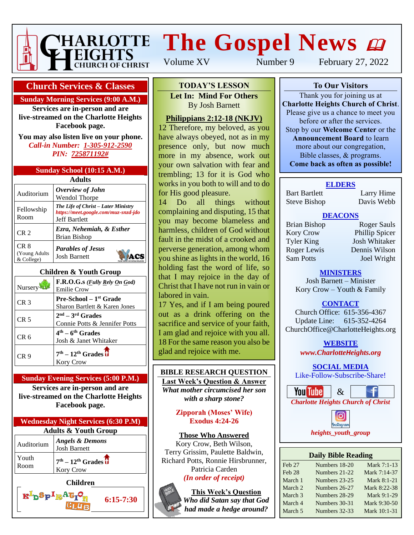

# **The Gospel News**

Volume XV Number 9 February 27, 2022

#### **Church Services & Classes**

#### **Sunday Morning Services (9:00 A.M.)**

**Services are in-person and are live-streamed on the Charlotte Heights Facebook page.**

**You may also listen live on your phone.** *Call-in Number: 1-305-912-2590 PIN: 725871192#*

| Sunday School (10:15 A.M.) |  |  |
|----------------------------|--|--|
|----------------------------|--|--|

| Adults                              |                                                                                                     |  |  |  |
|-------------------------------------|-----------------------------------------------------------------------------------------------------|--|--|--|
| Auditorium                          | Overview of John<br><b>Wendol Thorpe</b>                                                            |  |  |  |
| Fellowship<br>Room                  | The Life of Christ – Later Ministry<br>https://meet.google.com/muz-snzd-jdo<br><b>Jeff Bartlett</b> |  |  |  |
| CR <sub>2</sub>                     | Ezra, Nehemiah, & Esther<br><b>Brian Bishop</b>                                                     |  |  |  |
| CR 8<br>(Young Adults<br>& College) | <b>Parables of Jesus</b><br><b>Josh Barnett</b>                                                     |  |  |  |

#### **Children & Youth Group**

| Nursery         | F.R.O.G.s ( <i>Fully Rely On God</i> )<br><b>Emilie Crow</b>        |
|-----------------|---------------------------------------------------------------------|
| CR <sub>3</sub> | Pre-School - 1 <sup>st</sup> Grade<br>Sharon Bartlett & Karen Jones |
| CR <sub>5</sub> | $2nd - 3rd$ Grades<br>Connie Potts & Jennifer Potts                 |
| CR 6            | $4th - 6th$ Grades<br>Josh & Janet Whitaker                         |
| CR 9            | $7th - 12th$ Grades $\overline{U}$<br><b>Kory Crow</b>              |

#### **Sunday Evening Services (5:00 P.M.)**

**Services are in-person and are live-streamed on the Charlotte Heights Facebook page.**

| <b>Wednesday Night Services (6:30 P.M)</b> |                                                   |  |
|--------------------------------------------|---------------------------------------------------|--|
| <b>Adults &amp; Youth Group</b>            |                                                   |  |
| Auditorium                                 | <b>Angels &amp; Demons</b><br><b>Josh Barnett</b> |  |
| Youth<br>Room                              | $7th - 12th$ Grades $\overline{U}$<br>Kory Crow   |  |
|                                            |                                                   |  |

 $\mathbf{R}^{\mathrm{I}}$ p $\mathbf{S}_{\mathrm{P}}$   $\mathbf{I}_{\mathrm{R}}$ A $\mathbf{G}_{\mathrm{I}}$ 

**6:15-7:30**

**To Our Visitors TODAY'S LESSON**

**Let In: Mind For Others Charlotte Heights Christian Barnett** 

#### $\sum_{i=1}^{\infty}$ <u>Philippians 2:12-18 (NKJV)</u>

12 Therefore, my beloved, as you have always obeyed, not as in my presence only, but now much more in my absence, work out your own salvation with fear and trembling; 13 for it is God who works in you both to will and to do for His good pleasure.

14 Do all things without complaining and disputing, 15 that you may become blameless and harmless, children of God without fault in the midst of a crooked and perverse generation, among whom you shine as lights in the world, 16 holding fast the word of life, so that I may rejoice in the day of Christ that I have not run in vain or labored in vain.

17 Yes, and if I am being poured out as a drink offering on the sacrifice and service of your faith, I am glad and rejoice with you all. 18 For the same reason you also be glad and rejoice with me.

#### **BIBLE RESEARCH QUESTION**

**Last Week's Question & Answer** *What mother circumcised her son with a sharp stone?*

> **Zipporah (Moses' Wife) Exodus 4:24-26**

#### **Those Who Answered**

Kory Crow, Beth Wilson, Terry Grissim, Paulette Baldwin, Richard Potts, Ronnie Hirsbrunner, Patricia Carden

*(In order of receipt)*

**This Week's Question** *Who did Satan say that God had made a hedge around?*

**To Our Visitors**

Thank you for joining us at **Charlotte Heights Church of Christ**. Please give us a chance to meet you before or after the services. Stop by our **Welcome Center** or the **Announcement Board** to learn more about our congregation, Bible classes, & programs. **Come back as often as possible!**

#### **ELDERS**

Bart Bartlett Larry Hime Steve Bishop Davis Webb

#### **DEACONS**

Kory Crow Phillip Spicer Tyler King Josh Whitaker Roger Lewis Dennis Wilson Sam Potts Joel Wright

Brian Bishop Roger Sauls

#### **MINISTERS**

Josh Barnett – Minister Kory Crow – Youth & Family

### **CONTACT**

Church Office: 615-356-4367 Update Line: 615-352-4264 ChurchOffice@CharlotteHeights.org

**WEBSITE**

**Media Postings** *www.CharlotteHeights.org*

**SOCIAL MEDIA** 

Like-Follow-Subscribe-Share! **Charlotte Heights**



• Sunday Adult Auditorium Class rstagram • Wednesday Adult Bible Study *heights\_youth\_group*

#### **Daily Bible Reading**

| Feb 27            | Numbers 18-20 | Mark 7:1-13  |
|-------------------|---------------|--------------|
| Feb <sub>28</sub> | Numbers 21-22 | Mark 7:14-37 |
| March 1           | Numbers 23-25 | Mark 8:1-21  |
| March 2           | Numbers 26-27 | Mark 8:22-38 |
| March 3           | Numbers 28-29 | Mark 9:1-29  |
| March 4           | Numbers 30-31 | Mark 9:30-50 |
| March 5           | Numbers 32-33 | Mark 10:1-31 |
|                   |               |              |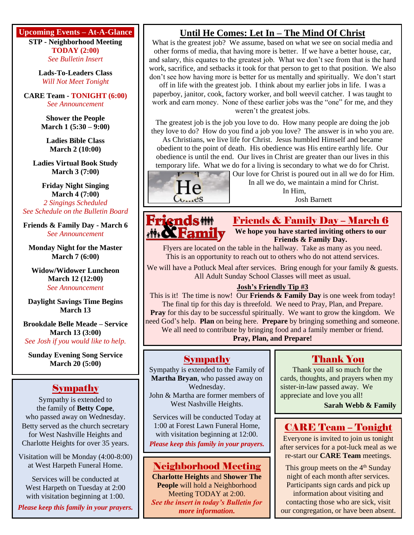**Upcoming Events – At-A-Glance**

**STP - Neighborhood Meeting TODAY (2:00)** *See Bulletin Insert*

**Lads-To-Leaders Class** *Will Not Meet Tonight*

**CARE Team - TONIGHT (6:00)** *See Announcement*

> **Shower the People March 1 (5:30 – 9:00)**

**Ladies Bible Class March 2 (10:00)**

**Ladies Virtual Book Study March 3 (7:00)**

**Friday Night Singing** z **March 4 (7:00)** *2 Singings Scheduled See Schedule on the Bulletin Board*

**Friends & Family Day - March 6** *See Announcement*

**Monday Night for the Master March 7 (6:00)**

**Widow/Widower Luncheon March 12 (12:00)** *See Announcement*

**Daylight Savings Time Begins March 13**

**Brookdale Belle Meade – Service March 13 (3:00)** *See Josh if you would like to help.*

**Sunday Evening Song Service March 20 (5:00)**

## Sympathy

Sympathy is extended to the family of **Betty Cope**, who passed away on Wednesday. Betty served as the church secretary for West Nashville Heights and Charlotte Heights for over 35 years.

Visitation will be Monday (4:00-8:00) at West Harpeth Funeral Home.

Services will be conducted at West Harpeth on Tuesday at 2:00 with visitation beginning at 1:00.

*Please keep this family in your prayers.*

## **Until He Comes: Let In – The Mind Of Christ**

What is the greatest job? We assume, based on what we see on social media and other forms of media, that having more is better. If we have a better house, car, and salary, this equates to the greatest job. What we don't see from that is the hard work, sacrifice, and setbacks it took for that person to get to that position. We also don't see how having more is better for us mentally and spiritually. We don't start

off in life with the greatest job. I think about my earlier jobs in life. I was a paperboy, janitor, cook, factory worker, and boll weevil catcher. I was taught to work and earn money. None of these earlier jobs was the "one" for me, and they weren't the greatest jobs.

The greatest job is the job you love to do. How many people are doing the job they love to do? How do you find a job you love? The answer is in who you are.

As Christians, we live life for Christ. Jesus humbled Himself and became obedient to the point of death. His obedience was His entire earthly life. Our obedience is until the end. Our lives in Christ are greater than our lives in this

temporary life. What we do for a living is secondary to what we do for Christ. Our love for Christ is poured out in all we do for Him.



In all we do, we maintain a mind for Christ. In Him,

Josh Barnett



Friends & Family Day – March 6 **We hope you have started inviting others to our Friends & Family Day.**

Flyers are located on the table in the hallway. Take as many as you need. This is an opportunity to reach out to others who do not attend services.

We will have a Potluck Meal after services. Bring enough for your family & guests. All Adult Sunday School Classes will meet as usual.

#### **Josh's Friendly Tip #3**

This is it! The time is now! Our **Friends & Family Day** is one week from today! The final tip for this day is threefold. We need to Pray, Plan, and Prepare. **Pray** for this day to be successful spiritually. We want to grow the kingdom. We need God's help. **Plan** on being here. **Prepare** by bringing something and someone. We all need to contribute by bringing food and a family member or friend. **Pray, Plan, and Prepare!**

### Sympathy

Sympathy is extended to the Family of **Martha Bryan**, who passed away on Wednesday. John & Martha are former members of

West Nashville Heights.

Services will be conducted Today at 1:00 at Forest Lawn Funeral Home, with visitation beginning at 12:00.

*Please keep this family in your prayers.*

### Neighborhood Meeting

**Charlotte Heights** and **Shower The People** will hold a Neighborhood Meeting TODAY at 2:00. *See the insert in today's Bulletin for more information.*

## Thank You

Thank you all so much for the cards, thoughts, and prayers when my sister-in-law passed away. We appreciate and love you all!

**Sarah Webb & Family**

## CARE Team – Tonight

Everyone is invited to join us tonight after services for a pot-luck meal as we re-start our **CARE Team** meetings.

This group meets on the  $4<sup>th</sup>$  Sunday night of each month after services. Participants sign cards and pick up information about visiting and contacting those who are sick, visit our congregation, or have been absent.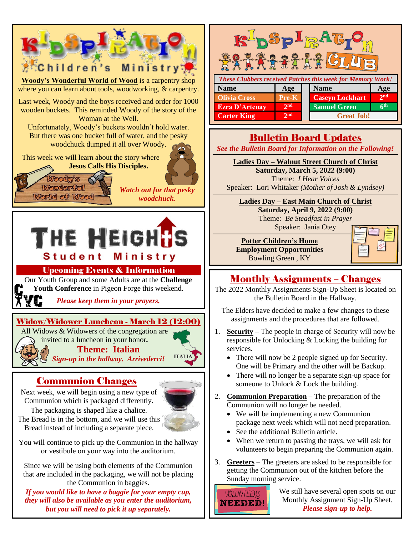